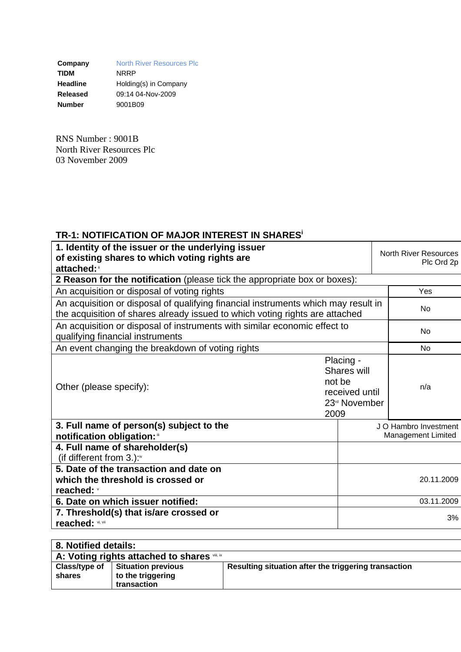**Company** North River Resources Plc<br> **TIDM** NRRP **TIDM** NRRP **Headline** Holding(s) in Company **Released** 09:14 04-Nov-2009 **Number** 9001B09

RNS Number : 9001B North River Resources Plc 03 November 2009

## **TR-1: NOTIFICATION OF MAJOR INTEREST IN SHARESi**

| 1. Identity of the issuer or the underlying issuer<br>of existing shares to which voting rights are<br>attached:                                                   |                                                                                           | <b>North River Resources</b><br>Plc Ord 2p |     |
|--------------------------------------------------------------------------------------------------------------------------------------------------------------------|-------------------------------------------------------------------------------------------|--------------------------------------------|-----|
| 2 Reason for the notification (please tick the appropriate box or boxes):                                                                                          |                                                                                           |                                            |     |
| An acquisition or disposal of voting rights                                                                                                                        | Yes                                                                                       |                                            |     |
| An acquisition or disposal of qualifying financial instruments which may result in<br>the acquisition of shares already issued to which voting rights are attached | No                                                                                        |                                            |     |
| An acquisition or disposal of instruments with similar economic effect to<br>qualifying financial instruments                                                      | No                                                                                        |                                            |     |
| An event changing the breakdown of voting rights                                                                                                                   | <b>No</b>                                                                                 |                                            |     |
| Other (please specify):                                                                                                                                            | Placing -<br>Shares will<br>not be<br>received until<br>23 <sup>rd</sup> November<br>2009 |                                            | n/a |
| 3. Full name of person(s) subject to the<br>notification obligation:                                                                                               | J O Hambro Investment<br>Management Limited                                               |                                            |     |
| 4. Full name of shareholder(s)<br>(if different from $3.$ ): $\sqrt[n]{ }$                                                                                         |                                                                                           |                                            |     |
| 5. Date of the transaction and date on<br>which the threshold is crossed or<br>reached: v                                                                          | 20.11.2009                                                                                |                                            |     |
| 6. Date on which issuer notified:                                                                                                                                  |                                                                                           | 03.11.2009                                 |     |
| 7. Threshold(s) that is/are crossed or<br>reached: vi, vii                                                                                                         | 3%                                                                                        |                                            |     |

| 8. Notified details: |                                              |                                                      |  |  |  |
|----------------------|----------------------------------------------|------------------------------------------------------|--|--|--|
|                      | A: Voting rights attached to shares viii, ix |                                                      |  |  |  |
| Class/type of        | <b>Situation previous</b>                    | Resulting situation after the triggering transaction |  |  |  |
| shares               | to the triggering                            |                                                      |  |  |  |
|                      | transaction                                  |                                                      |  |  |  |